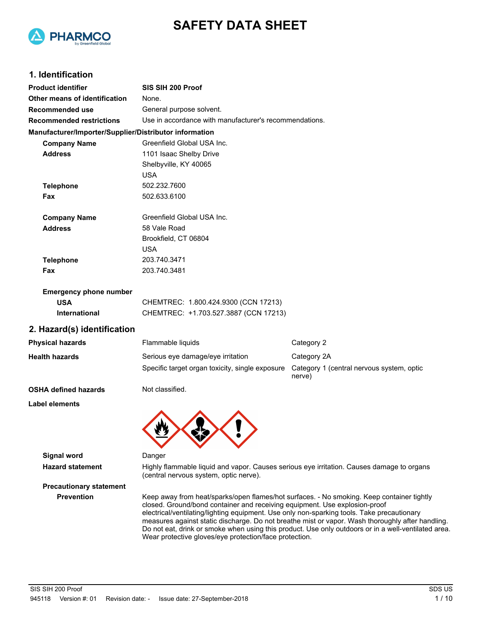



## **1. Identification**

| <b>Product identifier</b>                              | SIS SIH 200 Proof                                                                                                                                                                                                                                                     |                                                                                                  |  |  |
|--------------------------------------------------------|-----------------------------------------------------------------------------------------------------------------------------------------------------------------------------------------------------------------------------------------------------------------------|--------------------------------------------------------------------------------------------------|--|--|
| Other means of identification                          | None.                                                                                                                                                                                                                                                                 |                                                                                                  |  |  |
| <b>Recommended use</b>                                 | General purpose solvent.                                                                                                                                                                                                                                              |                                                                                                  |  |  |
| <b>Recommended restrictions</b>                        | Use in accordance with manufacturer's recommendations.                                                                                                                                                                                                                |                                                                                                  |  |  |
| Manufacturer/Importer/Supplier/Distributor information |                                                                                                                                                                                                                                                                       |                                                                                                  |  |  |
| <b>Company Name</b>                                    | Greenfield Global USA Inc.                                                                                                                                                                                                                                            |                                                                                                  |  |  |
| <b>Address</b>                                         | 1101 Isaac Shelby Drive                                                                                                                                                                                                                                               |                                                                                                  |  |  |
|                                                        | Shelbyville, KY 40065                                                                                                                                                                                                                                                 |                                                                                                  |  |  |
|                                                        | <b>USA</b>                                                                                                                                                                                                                                                            |                                                                                                  |  |  |
| <b>Telephone</b>                                       | 502.232.7600                                                                                                                                                                                                                                                          |                                                                                                  |  |  |
| Fax                                                    | 502.633.6100                                                                                                                                                                                                                                                          |                                                                                                  |  |  |
| <b>Company Name</b>                                    | Greenfield Global USA Inc.                                                                                                                                                                                                                                            |                                                                                                  |  |  |
| <b>Address</b>                                         | 58 Vale Road                                                                                                                                                                                                                                                          |                                                                                                  |  |  |
|                                                        | Brookfield, CT 06804                                                                                                                                                                                                                                                  |                                                                                                  |  |  |
|                                                        | <b>USA</b>                                                                                                                                                                                                                                                            |                                                                                                  |  |  |
| <b>Telephone</b>                                       | 203.740.3471                                                                                                                                                                                                                                                          |                                                                                                  |  |  |
| Fax                                                    | 203.740.3481                                                                                                                                                                                                                                                          |                                                                                                  |  |  |
| <b>Emergency phone number</b>                          |                                                                                                                                                                                                                                                                       |                                                                                                  |  |  |
| <b>USA</b>                                             | CHEMTREC: 1.800.424.9300 (CCN 17213)                                                                                                                                                                                                                                  |                                                                                                  |  |  |
| International                                          | CHEMTREC: +1.703.527.3887 (CCN 17213)                                                                                                                                                                                                                                 |                                                                                                  |  |  |
| 2. Hazard(s) identification                            |                                                                                                                                                                                                                                                                       |                                                                                                  |  |  |
| <b>Physical hazards</b>                                | Flammable liquids                                                                                                                                                                                                                                                     | Category 2                                                                                       |  |  |
| <b>Health hazards</b>                                  | Serious eye damage/eye irritation                                                                                                                                                                                                                                     | Category 2A                                                                                      |  |  |
|                                                        | Specific target organ toxicity, single exposure                                                                                                                                                                                                                       | Category 1 (central nervous system, optic<br>nerve)                                              |  |  |
| <b>OSHA defined hazards</b>                            | Not classified.                                                                                                                                                                                                                                                       |                                                                                                  |  |  |
| Label elements                                         |                                                                                                                                                                                                                                                                       |                                                                                                  |  |  |
|                                                        |                                                                                                                                                                                                                                                                       |                                                                                                  |  |  |
|                                                        |                                                                                                                                                                                                                                                                       |                                                                                                  |  |  |
| <b>Signal word</b>                                     | Danger                                                                                                                                                                                                                                                                |                                                                                                  |  |  |
| <b>Hazard statement</b>                                | Highly flammable liquid and vapor. Causes serious eye irritation. Causes damage to organs<br>(central nervous system, optic nerve).                                                                                                                                   |                                                                                                  |  |  |
| <b>Precautionary statement</b>                         |                                                                                                                                                                                                                                                                       |                                                                                                  |  |  |
| <b>Prevention</b>                                      | Keep away from heat/sparks/open flames/hot surfaces. - No smoking. Keep container tightly<br>closed. Ground/bond container and receiving equipment. Use explosion-proof<br>electrical/ventilating/lighting equipment. Use only non-sparking tools. Take precautionary | measures against static discharge. Do not breathe mist or vapor. Wash thoroughly after handling. |  |  |

Wear protective gloves/eye protection/face protection.

Do not eat, drink or smoke when using this product. Use only outdoors or in a well-ventilated area.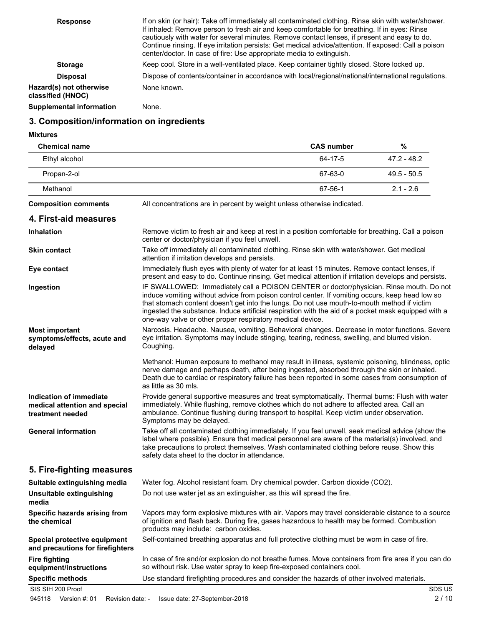| <b>Response</b>                              | If on skin (or hair): Take off immediately all contaminated clothing. Rinse skin with water/shower.<br>If inhaled: Remove person to fresh air and keep comfortable for breathing. If in eyes: Rinse<br>cautiously with water for several minutes. Remove contact lenses, if present and easy to do.<br>Continue rinsing. If eye irritation persists: Get medical advice/attention. If exposed: Call a poison<br>center/doctor. In case of fire: Use appropriate media to extinguish. |
|----------------------------------------------|--------------------------------------------------------------------------------------------------------------------------------------------------------------------------------------------------------------------------------------------------------------------------------------------------------------------------------------------------------------------------------------------------------------------------------------------------------------------------------------|
| <b>Storage</b>                               | Keep cool. Store in a well-ventilated place. Keep container tightly closed. Store locked up.                                                                                                                                                                                                                                                                                                                                                                                         |
| <b>Disposal</b>                              | Dispose of contents/container in accordance with local/regional/national/international regulations.                                                                                                                                                                                                                                                                                                                                                                                  |
| Hazard(s) not otherwise<br>classified (HNOC) | None known.                                                                                                                                                                                                                                                                                                                                                                                                                                                                          |
| <b>Supplemental information</b>              | None.                                                                                                                                                                                                                                                                                                                                                                                                                                                                                |

# **3. Composition/information on ingredients**

**Mixtures**

| <b>Chemical name</b>                                                         |                                                                                                                                                                                                                                                                                                                                                                                                                                                               | <b>CAS number</b> | $\%$          |
|------------------------------------------------------------------------------|---------------------------------------------------------------------------------------------------------------------------------------------------------------------------------------------------------------------------------------------------------------------------------------------------------------------------------------------------------------------------------------------------------------------------------------------------------------|-------------------|---------------|
| Ethyl alcohol                                                                |                                                                                                                                                                                                                                                                                                                                                                                                                                                               | 64-17-5           | $47.2 - 48.2$ |
| Propan-2-ol                                                                  |                                                                                                                                                                                                                                                                                                                                                                                                                                                               | 67-63-0           | $49.5 - 50.5$ |
| Methanol                                                                     |                                                                                                                                                                                                                                                                                                                                                                                                                                                               | 67-56-1           | $2.1 - 2.6$   |
| <b>Composition comments</b>                                                  | All concentrations are in percent by weight unless otherwise indicated.                                                                                                                                                                                                                                                                                                                                                                                       |                   |               |
| 4. First-aid measures                                                        |                                                                                                                                                                                                                                                                                                                                                                                                                                                               |                   |               |
| <b>Inhalation</b>                                                            | Remove victim to fresh air and keep at rest in a position comfortable for breathing. Call a poison<br>center or doctor/physician if you feel unwell.                                                                                                                                                                                                                                                                                                          |                   |               |
| <b>Skin contact</b>                                                          | Take off immediately all contaminated clothing. Rinse skin with water/shower. Get medical<br>attention if irritation develops and persists.                                                                                                                                                                                                                                                                                                                   |                   |               |
| Eye contact                                                                  | Immediately flush eyes with plenty of water for at least 15 minutes. Remove contact lenses, if<br>present and easy to do. Continue rinsing. Get medical attention if irritation develops and persists.                                                                                                                                                                                                                                                        |                   |               |
| Ingestion                                                                    | IF SWALLOWED: Immediately call a POISON CENTER or doctor/physician. Rinse mouth. Do not<br>induce vomiting without advice from poison control center. If vomiting occurs, keep head low so<br>that stomach content doesn't get into the lungs. Do not use mouth-to-mouth method if victim<br>ingested the substance. Induce artificial respiration with the aid of a pocket mask equipped with a<br>one-way valve or other proper respiratory medical device. |                   |               |
| <b>Most important</b><br>symptoms/effects, acute and<br>delayed              | Narcosis. Headache. Nausea, vomiting. Behavioral changes. Decrease in motor functions. Severe<br>eye irritation. Symptoms may include stinging, tearing, redness, swelling, and blurred vision.<br>Coughing.                                                                                                                                                                                                                                                  |                   |               |
|                                                                              | Methanol: Human exposure to methanol may result in illness, systemic poisoning, blindness, optic<br>nerve damage and perhaps death, after being ingested, absorbed through the skin or inhaled.<br>Death due to cardiac or respiratory failure has been reported in some cases from consumption of<br>as little as 30 mls.                                                                                                                                    |                   |               |
| Indication of immediate<br>medical attention and special<br>treatment needed | Provide general supportive measures and treat symptomatically. Thermal burns: Flush with water<br>immediately. While flushing, remove clothes which do not adhere to affected area. Call an<br>ambulance. Continue flushing during transport to hospital. Keep victim under observation.<br>Symptoms may be delayed.                                                                                                                                          |                   |               |
| <b>General information</b>                                                   | Take off all contaminated clothing immediately. If you feel unwell, seek medical advice (show the<br>label where possible). Ensure that medical personnel are aware of the material(s) involved, and<br>take precautions to protect themselves. Wash contaminated clothing before reuse. Show this<br>safety data sheet to the doctor in attendance.                                                                                                          |                   |               |
| 5. Fire-fighting measures                                                    |                                                                                                                                                                                                                                                                                                                                                                                                                                                               |                   |               |
| Suitable extinguishing media                                                 | Water fog. Alcohol resistant foam. Dry chemical powder. Carbon dioxide (CO2).                                                                                                                                                                                                                                                                                                                                                                                 |                   |               |
| Unsuitable extinguishing<br>media                                            | Do not use water jet as an extinguisher, as this will spread the fire.                                                                                                                                                                                                                                                                                                                                                                                        |                   |               |
| Specific hazards arising from<br>the chemical                                | Vapors may form explosive mixtures with air. Vapors may travel considerable distance to a source<br>of ignition and flash back. During fire, gases hazardous to health may be formed. Combustion<br>products may include: carbon oxides.                                                                                                                                                                                                                      |                   |               |
| Special protective equipment<br>and precautions for firefighters             | Self-contained breathing apparatus and full protective clothing must be worn in case of fire.                                                                                                                                                                                                                                                                                                                                                                 |                   |               |
| <b>Fire fighting</b><br>equipment/instructions                               | In case of fire and/or explosion do not breathe fumes. Move containers from fire area if you can do<br>so without risk. Use water spray to keep fire-exposed containers cool.                                                                                                                                                                                                                                                                                 |                   |               |
| <b>Specific methods</b>                                                      | Use standard firefighting procedures and consider the hazards of other involved materials.                                                                                                                                                                                                                                                                                                                                                                    |                   |               |
| SIS SIH 200 Proof                                                            |                                                                                                                                                                                                                                                                                                                                                                                                                                                               |                   | SDS US        |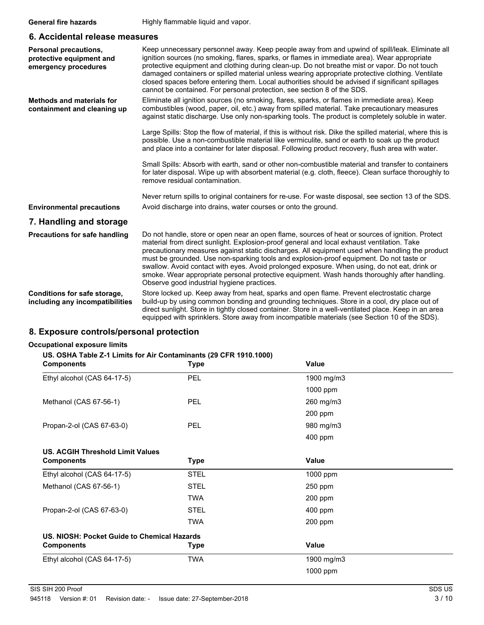### **6. Accidental release measures**

| Personal precautions,<br>protective equipment and<br>emergency procedures | Keep unnecessary personnel away. Keep people away from and upwind of spill/leak. Eliminate all<br>ignition sources (no smoking, flares, sparks, or flames in immediate area). Wear appropriate<br>protective equipment and clothing during clean-up. Do not breathe mist or vapor. Do not touch<br>damaged containers or spilled material unless wearing appropriate protective clothing. Ventilate<br>closed spaces before entering them. Local authorities should be advised if significant spillages<br>cannot be contained. For personal protection, see section 8 of the SDS.                                                        |
|---------------------------------------------------------------------------|-------------------------------------------------------------------------------------------------------------------------------------------------------------------------------------------------------------------------------------------------------------------------------------------------------------------------------------------------------------------------------------------------------------------------------------------------------------------------------------------------------------------------------------------------------------------------------------------------------------------------------------------|
| <b>Methods and materials for</b><br>containment and cleaning up           | Eliminate all ignition sources (no smoking, flares, sparks, or flames in immediate area). Keep<br>combustibles (wood, paper, oil, etc.) away from spilled material. Take precautionary measures<br>against static discharge. Use only non-sparking tools. The product is completely soluble in water.                                                                                                                                                                                                                                                                                                                                     |
|                                                                           | Large Spills: Stop the flow of material, if this is without risk. Dike the spilled material, where this is<br>possible. Use a non-combustible material like vermiculite, sand or earth to soak up the product<br>and place into a container for later disposal. Following product recovery, flush area with water.                                                                                                                                                                                                                                                                                                                        |
|                                                                           | Small Spills: Absorb with earth, sand or other non-combustible material and transfer to containers<br>for later disposal. Wipe up with absorbent material (e.g. cloth, fleece). Clean surface thoroughly to<br>remove residual contamination.                                                                                                                                                                                                                                                                                                                                                                                             |
|                                                                           | Never return spills to original containers for re-use. For waste disposal, see section 13 of the SDS.                                                                                                                                                                                                                                                                                                                                                                                                                                                                                                                                     |
| <b>Environmental precautions</b>                                          | Avoid discharge into drains, water courses or onto the ground.                                                                                                                                                                                                                                                                                                                                                                                                                                                                                                                                                                            |
| 7. Handling and storage                                                   |                                                                                                                                                                                                                                                                                                                                                                                                                                                                                                                                                                                                                                           |
| Precautions for safe handling                                             | Do not handle, store or open near an open flame, sources of heat or sources of ignition. Protect<br>material from direct sunlight. Explosion-proof general and local exhaust ventilation. Take<br>precautionary measures against static discharges. All equipment used when handling the product<br>must be grounded. Use non-sparking tools and explosion-proof equipment. Do not taste or<br>swallow. Avoid contact with eyes. Avoid prolonged exposure. When using, do not eat, drink or<br>smoke. Wear appropriate personal protective equipment. Wash hands thoroughly after handling.<br>Observe good industrial hygiene practices. |
| Conditions for safe storage,<br>including any incompatibilities           | Store locked up. Keep away from heat, sparks and open flame. Prevent electrostatic charge<br>build-up by using common bonding and grounding techniques. Store in a cool, dry place out of<br>direct sunlight. Store in tightly closed container. Store in a well-ventilated place. Keep in an area<br>equipped with sprinklers. Store away from incompatible materials (see Section 10 of the SDS).                                                                                                                                                                                                                                       |

# **8. Exposure controls/personal protection**

## **Occupational exposure limits**

### **US. OSHA Table Z-1 Limits for Air Contaminants (29 CFR 1910.1000)**

| <b>Components</b>                           | <b>Type</b> | Value      |  |
|---------------------------------------------|-------------|------------|--|
| Ethyl alcohol (CAS 64-17-5)                 | <b>PEL</b>  | 1900 mg/m3 |  |
|                                             |             | 1000 ppm   |  |
| Methanol (CAS 67-56-1)                      | <b>PEL</b>  | 260 mg/m3  |  |
|                                             |             | 200 ppm    |  |
| Propan-2-ol (CAS 67-63-0)                   | <b>PEL</b>  | 980 mg/m3  |  |
|                                             |             | 400 ppm    |  |
| <b>US. ACGIH Threshold Limit Values</b>     |             |            |  |
| <b>Components</b>                           | <b>Type</b> | Value      |  |
| Ethyl alcohol (CAS 64-17-5)                 | <b>STEL</b> | 1000 ppm   |  |
| Methanol (CAS 67-56-1)                      | <b>STEL</b> | 250 ppm    |  |
|                                             | <b>TWA</b>  | 200 ppm    |  |
| Propan-2-ol (CAS 67-63-0)                   | <b>STEL</b> | 400 ppm    |  |
|                                             | <b>TWA</b>  | 200 ppm    |  |
| US. NIOSH: Pocket Guide to Chemical Hazards |             |            |  |
| <b>Components</b>                           | <b>Type</b> | Value      |  |
| Ethyl alcohol (CAS 64-17-5)                 | <b>TWA</b>  | 1900 mg/m3 |  |
|                                             |             | 1000 ppm   |  |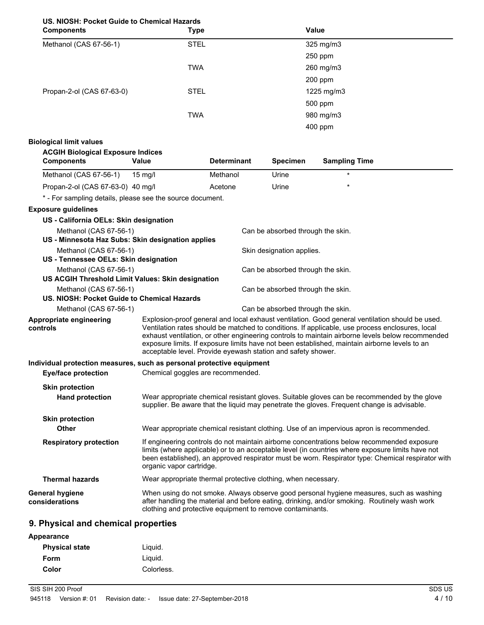## **US. NIOSH: Pocket Guide to Chemical Hazards**

| <b>Components</b>         | <b>Type</b> | Value      |  |
|---------------------------|-------------|------------|--|
| Methanol (CAS 67-56-1)    | <b>STEL</b> | 325 mg/m3  |  |
|                           |             | $250$ ppm  |  |
|                           | <b>TWA</b>  | 260 mg/m3  |  |
|                           |             | 200 ppm    |  |
| Propan-2-ol (CAS 67-63-0) | <b>STEL</b> | 1225 mg/m3 |  |
|                           |             | 500 ppm    |  |
|                           | <b>TWA</b>  | 980 mg/m3  |  |
|                           |             | 400 ppm    |  |

## **Biological limit values**

| <b>Components</b>                 | Value   | <b>Determinant</b> | <b>Specimen</b> | <b>Sampling Time</b> |
|-----------------------------------|---------|--------------------|-----------------|----------------------|
| Methanol (CAS 67-56-1)            | 15 ma/l | Methanol           | Urine           | $\star$              |
| Propan-2-ol (CAS 67-63-0) 40 mg/l |         | Acetone            | Urine           | $\star$              |

### **Exposure guidelines**

| US - California OELs: Skin designation                                |                                                           |                                                                                                                                                                                                                                                                                                                                                                                                                                                                         |
|-----------------------------------------------------------------------|-----------------------------------------------------------|-------------------------------------------------------------------------------------------------------------------------------------------------------------------------------------------------------------------------------------------------------------------------------------------------------------------------------------------------------------------------------------------------------------------------------------------------------------------------|
| Methanol (CAS 67-56-1)                                                |                                                           | Can be absorbed through the skin.                                                                                                                                                                                                                                                                                                                                                                                                                                       |
| US - Minnesota Haz Subs: Skin designation applies                     |                                                           |                                                                                                                                                                                                                                                                                                                                                                                                                                                                         |
| Methanol (CAS 67-56-1)                                                |                                                           | Skin designation applies.                                                                                                                                                                                                                                                                                                                                                                                                                                               |
| US - Tennessee OELs: Skin designation                                 |                                                           |                                                                                                                                                                                                                                                                                                                                                                                                                                                                         |
| Methanol (CAS 67-56-1)                                                |                                                           | Can be absorbed through the skin.                                                                                                                                                                                                                                                                                                                                                                                                                                       |
| US ACGIH Threshold Limit Values: Skin designation                     |                                                           |                                                                                                                                                                                                                                                                                                                                                                                                                                                                         |
| Methanol (CAS 67-56-1)                                                |                                                           | Can be absorbed through the skin.                                                                                                                                                                                                                                                                                                                                                                                                                                       |
| US. NIOSH: Pocket Guide to Chemical Hazards                           |                                                           |                                                                                                                                                                                                                                                                                                                                                                                                                                                                         |
| Methanol (CAS 67-56-1)                                                |                                                           | Can be absorbed through the skin.                                                                                                                                                                                                                                                                                                                                                                                                                                       |
| Appropriate engineering<br>controls                                   |                                                           | Explosion-proof general and local exhaust ventilation. Good general ventilation should be used.<br>Ventilation rates should be matched to conditions. If applicable, use process enclosures, local<br>exhaust ventilation, or other engineering controls to maintain airborne levels below recommended<br>exposure limits. If exposure limits have not been established, maintain airborne levels to an<br>acceptable level. Provide eyewash station and safety shower. |
| Individual protection measures, such as personal protective equipment |                                                           |                                                                                                                                                                                                                                                                                                                                                                                                                                                                         |
| <b>Eye/face protection</b>                                            | Chemical goggles are recommended.                         |                                                                                                                                                                                                                                                                                                                                                                                                                                                                         |
| <b>Skin protection</b>                                                |                                                           |                                                                                                                                                                                                                                                                                                                                                                                                                                                                         |
| <b>Hand protection</b>                                                |                                                           | Wear appropriate chemical resistant gloves. Suitable gloves can be recommended by the glove<br>supplier. Be aware that the liquid may penetrate the gloves. Frequent change is advisable.                                                                                                                                                                                                                                                                               |
| <b>Skin protection</b>                                                |                                                           |                                                                                                                                                                                                                                                                                                                                                                                                                                                                         |
| Other                                                                 |                                                           | Wear appropriate chemical resistant clothing. Use of an impervious apron is recommended.                                                                                                                                                                                                                                                                                                                                                                                |
| <b>Respiratory protection</b>                                         | organic vapor cartridge.                                  | If engineering controls do not maintain airborne concentrations below recommended exposure<br>limits (where applicable) or to an acceptable level (in countries where exposure limits have not<br>been established), an approved respirator must be worn. Respirator type: Chemical respirator with                                                                                                                                                                     |
| <b>Thermal hazards</b>                                                |                                                           | Wear appropriate thermal protective clothing, when necessary.                                                                                                                                                                                                                                                                                                                                                                                                           |
| <b>General hygiene</b><br>considerations                              | clothing and protective equipment to remove contaminants. | When using do not smoke. Always observe good personal hygiene measures, such as washing<br>after handling the material and before eating, drinking, and/or smoking. Routinely wash work                                                                                                                                                                                                                                                                                 |

# **9. Physical and chemical properties**

| Appearance            |            |
|-----------------------|------------|
| <b>Physical state</b> | Liguid.    |
| Form                  | Liguid.    |
| Color                 | Colorless. |
|                       |            |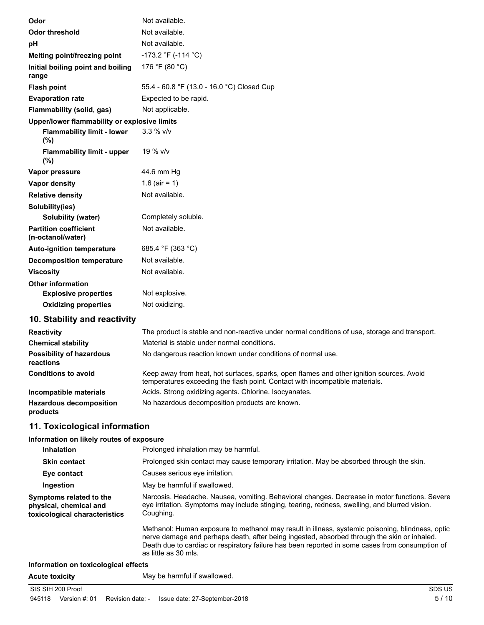| Odor                                              | Not available.                             |
|---------------------------------------------------|--------------------------------------------|
| <b>Odor threshold</b>                             | Not available.                             |
| pH                                                | Not available.                             |
| Melting point/freezing point                      | -173.2 °F (-114 °C)                        |
| Initial boiling point and boiling<br>range        | 176 °F (80 °C)                             |
| <b>Flash point</b>                                | 55.4 - 60.8 °F (13.0 - 16.0 °C) Closed Cup |
| <b>Evaporation rate</b>                           | Expected to be rapid.                      |
| Flammability (solid, gas)                         | Not applicable.                            |
| Upper/lower flammability or explosive limits      |                                            |
| <b>Flammability limit - lower</b><br>(%)          | $3.3 \%$ V/V                               |
| <b>Flammability limit - upper</b><br>(%)          | 19 % v/v                                   |
| Vapor pressure                                    | 44.6 mm Hg                                 |
| <b>Vapor density</b>                              | 1.6 (air = 1)                              |
| <b>Relative density</b>                           | Not available.                             |
| Solubility(ies)                                   |                                            |
| Solubility (water)                                | Completely soluble.                        |
| <b>Partition coefficient</b><br>(n-octanol/water) | Not available.                             |
| <b>Auto-ignition temperature</b>                  | 685.4 °F (363 °C)                          |
| <b>Decomposition temperature</b>                  | Not available.                             |
| <b>Viscosity</b>                                  | Not available.                             |
| <b>Other information</b>                          |                                            |
| <b>Explosive properties</b>                       | Not explosive.                             |
| <b>Oxidizing properties</b>                       | Not oxidizing.                             |
| 10. Stability and reactivity                      |                                            |

| <b>Reactivity</b>                            | The product is stable and non-reactive under normal conditions of use, storage and transport.                                                                            |
|----------------------------------------------|--------------------------------------------------------------------------------------------------------------------------------------------------------------------------|
| <b>Chemical stability</b>                    | Material is stable under normal conditions.                                                                                                                              |
| <b>Possibility of hazardous</b><br>reactions | No dangerous reaction known under conditions of normal use.                                                                                                              |
| <b>Conditions to avoid</b>                   | Keep away from heat, hot surfaces, sparks, open flames and other ignition sources. Avoid<br>temperatures exceeding the flash point. Contact with incompatible materials. |
| Incompatible materials                       | Acids. Strong oxidizing agents. Chlorine. Isocyanates.                                                                                                                   |
| <b>Hazardous decomposition</b><br>products   | No hazardous decomposition products are known.                                                                                                                           |

# **11. Toxicological information**

## **Information on likely routes of exposure**

| <b>Inhalation</b>                                                                  | Prolonged inhalation may be harmful.                                                                                                                                                                                                                                                                                       |
|------------------------------------------------------------------------------------|----------------------------------------------------------------------------------------------------------------------------------------------------------------------------------------------------------------------------------------------------------------------------------------------------------------------------|
| <b>Skin contact</b>                                                                | Prolonged skin contact may cause temporary irritation. May be absorbed through the skin.                                                                                                                                                                                                                                   |
| Eye contact                                                                        | Causes serious eve irritation.                                                                                                                                                                                                                                                                                             |
| Ingestion                                                                          | May be harmful if swallowed.                                                                                                                                                                                                                                                                                               |
| Symptoms related to the<br>physical, chemical and<br>toxicological characteristics | Narcosis. Headache. Nausea, vomiting. Behavioral changes. Decrease in motor functions. Severe<br>eye irritation. Symptoms may include stinging, tearing, redness, swelling, and blurred vision.<br>Coughing.                                                                                                               |
|                                                                                    | Methanol: Human exposure to methanol may result in illness, systemic poisoning, blindness, optic<br>nerve damage and perhaps death, after being ingested, absorbed through the skin or inhaled.<br>Death due to cardiac or respiratory failure has been reported in some cases from consumption of<br>as little as 30 mls. |
| Information on toxicological effects                                               |                                                                                                                                                                                                                                                                                                                            |
| <b>Acute toxicity</b>                                                              | May be harmful if swallowed.                                                                                                                                                                                                                                                                                               |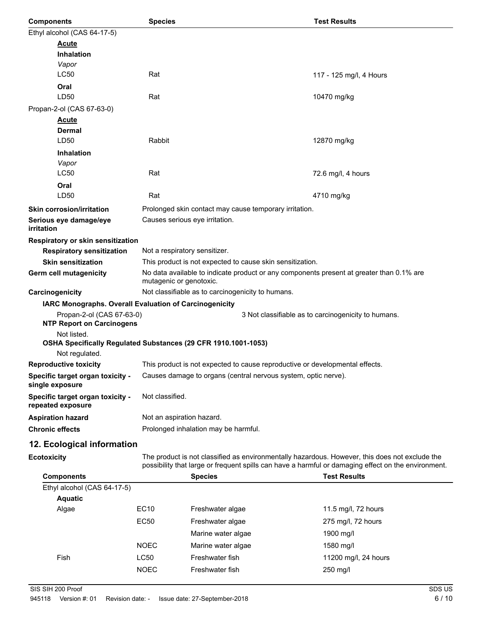| <b>Components</b>                                                             | <b>Species</b>                |                                                                                                                     | <b>Test Results</b>                                                                                                                                                                                   |  |
|-------------------------------------------------------------------------------|-------------------------------|---------------------------------------------------------------------------------------------------------------------|-------------------------------------------------------------------------------------------------------------------------------------------------------------------------------------------------------|--|
| Ethyl alcohol (CAS 64-17-5)                                                   |                               |                                                                                                                     |                                                                                                                                                                                                       |  |
| <b>Acute</b>                                                                  |                               |                                                                                                                     |                                                                                                                                                                                                       |  |
| <b>Inhalation</b>                                                             |                               |                                                                                                                     |                                                                                                                                                                                                       |  |
| Vapor                                                                         |                               |                                                                                                                     |                                                                                                                                                                                                       |  |
| LC50                                                                          | Rat                           |                                                                                                                     | 117 - 125 mg/l, 4 Hours                                                                                                                                                                               |  |
| Oral                                                                          |                               |                                                                                                                     |                                                                                                                                                                                                       |  |
| LD50                                                                          | Rat                           |                                                                                                                     | 10470 mg/kg                                                                                                                                                                                           |  |
| Propan-2-ol (CAS 67-63-0)                                                     |                               |                                                                                                                     |                                                                                                                                                                                                       |  |
| <b>Acute</b><br><b>Dermal</b>                                                 |                               |                                                                                                                     |                                                                                                                                                                                                       |  |
| LD50                                                                          | Rabbit                        |                                                                                                                     | 12870 mg/kg                                                                                                                                                                                           |  |
| <b>Inhalation</b>                                                             |                               |                                                                                                                     |                                                                                                                                                                                                       |  |
| Vapor                                                                         |                               |                                                                                                                     |                                                                                                                                                                                                       |  |
| LC50                                                                          | Rat                           |                                                                                                                     | 72.6 mg/l, 4 hours                                                                                                                                                                                    |  |
| Oral                                                                          |                               |                                                                                                                     |                                                                                                                                                                                                       |  |
| LD50                                                                          | Rat                           |                                                                                                                     | 4710 mg/kg                                                                                                                                                                                            |  |
| <b>Skin corrosion/irritation</b>                                              |                               | Prolonged skin contact may cause temporary irritation.                                                              |                                                                                                                                                                                                       |  |
| Serious eye damage/eye                                                        |                               | Causes serious eye irritation.                                                                                      |                                                                                                                                                                                                       |  |
| <i>irritation</i>                                                             |                               |                                                                                                                     |                                                                                                                                                                                                       |  |
| Respiratory or skin sensitization                                             |                               |                                                                                                                     |                                                                                                                                                                                                       |  |
| <b>Respiratory sensitization</b>                                              | Not a respiratory sensitizer. |                                                                                                                     |                                                                                                                                                                                                       |  |
| <b>Skin sensitization</b>                                                     |                               | This product is not expected to cause skin sensitization.                                                           |                                                                                                                                                                                                       |  |
| Germ cell mutagenicity                                                        |                               | No data available to indicate product or any components present at greater than 0.1% are<br>mutagenic or genotoxic. |                                                                                                                                                                                                       |  |
| Carcinogenicity                                                               |                               | Not classifiable as to carcinogenicity to humans.                                                                   |                                                                                                                                                                                                       |  |
| IARC Monographs. Overall Evaluation of Carcinogenicity                        |                               |                                                                                                                     |                                                                                                                                                                                                       |  |
| Propan-2-ol (CAS 67-63-0)                                                     |                               |                                                                                                                     | 3 Not classifiable as to carcinogenicity to humans.                                                                                                                                                   |  |
| <b>NTP Report on Carcinogens</b>                                              |                               |                                                                                                                     |                                                                                                                                                                                                       |  |
| Not listed.<br>OSHA Specifically Regulated Substances (29 CFR 1910.1001-1053) |                               |                                                                                                                     |                                                                                                                                                                                                       |  |
| Not regulated.                                                                |                               |                                                                                                                     |                                                                                                                                                                                                       |  |
| <b>Reproductive toxicity</b>                                                  |                               | This product is not expected to cause reproductive or developmental effects.                                        |                                                                                                                                                                                                       |  |
| Specific target organ toxicity -                                              |                               | Causes damage to organs (central nervous system, optic nerve).                                                      |                                                                                                                                                                                                       |  |
| single exposure<br>Specific target organ toxicity -                           | Not classified.               |                                                                                                                     |                                                                                                                                                                                                       |  |
| repeated exposure                                                             |                               |                                                                                                                     |                                                                                                                                                                                                       |  |
| <b>Aspiration hazard</b>                                                      |                               | Not an aspiration hazard.                                                                                           |                                                                                                                                                                                                       |  |
| <b>Chronic effects</b>                                                        |                               | Prolonged inhalation may be harmful.                                                                                |                                                                                                                                                                                                       |  |
| 12. Ecological information                                                    |                               |                                                                                                                     |                                                                                                                                                                                                       |  |
| <b>Ecotoxicity</b>                                                            |                               |                                                                                                                     | The product is not classified as environmentally hazardous. However, this does not exclude the<br>possibility that large or frequent spills can have a harmful or damaging effect on the environment. |  |
| <b>Components</b>                                                             |                               | <b>Species</b>                                                                                                      | <b>Test Results</b>                                                                                                                                                                                   |  |
| Ethyl alcohol (CAS 64-17-5)                                                   |                               |                                                                                                                     |                                                                                                                                                                                                       |  |
| <b>Aquatic</b>                                                                |                               |                                                                                                                     |                                                                                                                                                                                                       |  |
| Algae                                                                         | EC10                          | Freshwater algae                                                                                                    | 11.5 mg/l, 72 hours                                                                                                                                                                                   |  |
|                                                                               | EC50                          | Freshwater algae                                                                                                    | 275 mg/l, 72 hours                                                                                                                                                                                    |  |
|                                                                               |                               | Marine water algae                                                                                                  | 1900 mg/l                                                                                                                                                                                             |  |

NOEC Marine water algae 1580 mg/l

NOEC Freshwater fish 250 mg/l

Fish CC50 Freshwater fish 11200 mg/l, 24 hours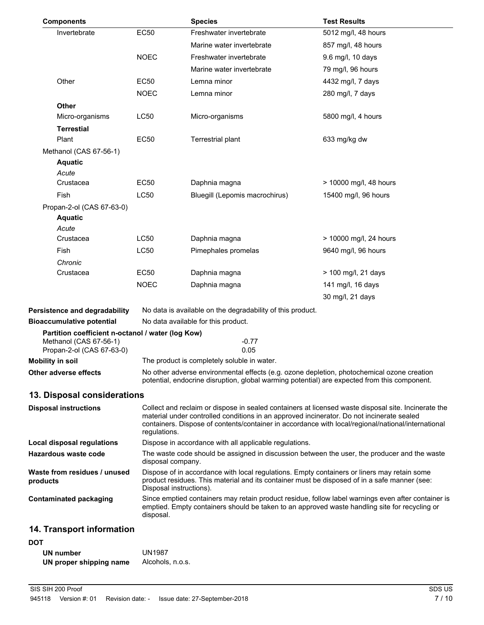| <b>Components</b>                                                 |              | <b>Species</b>                                                                                                                                                                                                                                                                                         | <b>Test Results</b>    |  |
|-------------------------------------------------------------------|--------------|--------------------------------------------------------------------------------------------------------------------------------------------------------------------------------------------------------------------------------------------------------------------------------------------------------|------------------------|--|
| Invertebrate                                                      | <b>EC50</b>  | Freshwater invertebrate                                                                                                                                                                                                                                                                                | 5012 mg/l, 48 hours    |  |
|                                                                   |              | Marine water invertebrate                                                                                                                                                                                                                                                                              | 857 mg/l, 48 hours     |  |
|                                                                   | <b>NOEC</b>  | Freshwater invertebrate                                                                                                                                                                                                                                                                                | 9.6 mg/l, 10 days      |  |
|                                                                   |              | Marine water invertebrate                                                                                                                                                                                                                                                                              | 79 mg/l, 96 hours      |  |
| Other                                                             | <b>EC50</b>  | Lemna minor                                                                                                                                                                                                                                                                                            | 4432 mg/l, 7 days      |  |
|                                                                   | <b>NOEC</b>  | Lemna minor                                                                                                                                                                                                                                                                                            | 280 mg/l, 7 days       |  |
| Other                                                             |              |                                                                                                                                                                                                                                                                                                        |                        |  |
| Micro-organisms                                                   | <b>LC50</b>  | Micro-organisms                                                                                                                                                                                                                                                                                        | 5800 mg/l, 4 hours     |  |
| <b>Terrestial</b>                                                 |              |                                                                                                                                                                                                                                                                                                        |                        |  |
| Plant                                                             | <b>EC50</b>  | Terrestrial plant                                                                                                                                                                                                                                                                                      | 633 mg/kg dw           |  |
| Methanol (CAS 67-56-1)                                            |              |                                                                                                                                                                                                                                                                                                        |                        |  |
| <b>Aquatic</b>                                                    |              |                                                                                                                                                                                                                                                                                                        |                        |  |
| Acute                                                             |              |                                                                                                                                                                                                                                                                                                        |                        |  |
| Crustacea                                                         | EC50         | Daphnia magna                                                                                                                                                                                                                                                                                          | > 10000 mg/l, 48 hours |  |
| Fish                                                              | <b>LC50</b>  | Bluegill (Lepomis macrochirus)                                                                                                                                                                                                                                                                         | 15400 mg/l, 96 hours   |  |
| Propan-2-ol (CAS 67-63-0)                                         |              |                                                                                                                                                                                                                                                                                                        |                        |  |
| <b>Aquatic</b>                                                    |              |                                                                                                                                                                                                                                                                                                        |                        |  |
| Acute<br>Crustacea                                                | LC50         | Daphnia magna                                                                                                                                                                                                                                                                                          | > 10000 mg/l, 24 hours |  |
| Fish                                                              | <b>LC50</b>  |                                                                                                                                                                                                                                                                                                        |                        |  |
|                                                                   |              | Pimephales promelas                                                                                                                                                                                                                                                                                    | 9640 mg/l, 96 hours    |  |
| Chronic<br>Crustacea                                              | EC50         | Daphnia magna                                                                                                                                                                                                                                                                                          | > 100 mg/l, 21 days    |  |
|                                                                   | <b>NOEC</b>  | Daphnia magna                                                                                                                                                                                                                                                                                          | 141 mg/l, 16 days      |  |
|                                                                   |              |                                                                                                                                                                                                                                                                                                        | 30 mg/l, 21 days       |  |
|                                                                   |              |                                                                                                                                                                                                                                                                                                        |                        |  |
| Persistence and degradability<br><b>Bioaccumulative potential</b> |              | No data is available on the degradability of this product.<br>No data available for this product.                                                                                                                                                                                                      |                        |  |
| Partition coefficient n-octanol / water (log Kow)                 |              |                                                                                                                                                                                                                                                                                                        |                        |  |
| Methanol (CAS 67-56-1)<br>Propan-2-ol (CAS 67-63-0)               |              | $-0.77$<br>0.05                                                                                                                                                                                                                                                                                        |                        |  |
| <b>Mobility in soil</b>                                           |              | The product is completely soluble in water.                                                                                                                                                                                                                                                            |                        |  |
| Other adverse effects                                             |              | No other adverse environmental effects (e.g. ozone depletion, photochemical ozone creation                                                                                                                                                                                                             |                        |  |
|                                                                   |              | potential, endocrine disruption, global warming potential) are expected from this component.                                                                                                                                                                                                           |                        |  |
| 13. Disposal considerations                                       |              |                                                                                                                                                                                                                                                                                                        |                        |  |
| <b>Disposal instructions</b>                                      |              | Collect and reclaim or dispose in sealed containers at licensed waste disposal site. Incinerate the<br>material under controlled conditions in an approved incinerator. Do not incinerate sealed<br>containers. Dispose of contents/container in accordance with local/regional/national/international |                        |  |
|                                                                   | regulations. |                                                                                                                                                                                                                                                                                                        |                        |  |
| <b>Local disposal regulations</b><br>Hazardous waste code         |              | Dispose in accordance with all applicable regulations.                                                                                                                                                                                                                                                 |                        |  |
|                                                                   |              | The waste code should be assigned in discussion between the user, the producer and the waste<br>disposal company.                                                                                                                                                                                      |                        |  |
| Waste from residues / unused<br>products                          |              | Dispose of in accordance with local regulations. Empty containers or liners may retain some<br>product residues. This material and its container must be disposed of in a safe manner (see:<br>Disposal instructions).                                                                                 |                        |  |
| <b>Contaminated packaging</b>                                     | disposal.    | Since emptied containers may retain product residue, follow label warnings even after container is<br>emptied. Empty containers should be taken to an approved waste handling site for recycling or                                                                                                    |                        |  |
| 14. Transport information                                         |              |                                                                                                                                                                                                                                                                                                        |                        |  |
| <b>DOT</b>                                                        |              |                                                                                                                                                                                                                                                                                                        |                        |  |

| UN number               | <b>UN1987</b>    |
|-------------------------|------------------|
| UN proper shipping name | Alcohols, n.o.s. |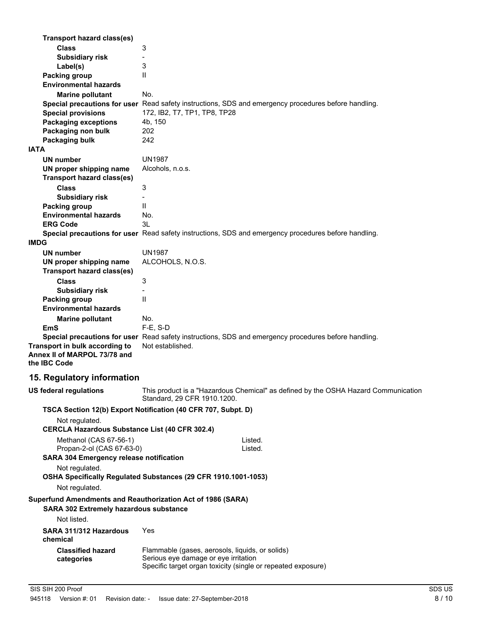| Transport hazard class(es)<br><b>Class</b><br>3<br><b>Subsidiary risk</b><br>-<br>3<br>Label(s)<br>Packing group<br>$\mathsf{I}$<br><b>Environmental hazards</b><br>No.<br><b>Marine pollutant</b><br>Special precautions for user Read safety instructions, SDS and emergency procedures before handling.<br><b>Special provisions</b><br>172, IB2, T7, TP1, TP8, TP28<br><b>Packaging exceptions</b><br>4b, 150<br>Packaging non bulk<br>202<br>242<br>Packaging bulk<br><b>IATA</b><br><b>UN1987</b><br><b>UN number</b><br>UN proper shipping name<br>Alcohols, n.o.s.<br><b>Transport hazard class(es)</b><br>3<br><b>Class</b><br><b>Subsidiary risk</b><br>Ш<br>Packing group<br><b>Environmental hazards</b><br>No.<br>3L<br><b>ERG Code</b><br>Special precautions for user Read safety instructions, SDS and emergency procedures before handling.<br><b>IMDG</b><br><b>UN1987</b><br><b>UN number</b><br>ALCOHOLS, N.O.S.<br>UN proper shipping name<br><b>Transport hazard class(es)</b><br><b>Class</b><br>3<br><b>Subsidiary risk</b><br>$\overline{\phantom{0}}$<br>Ш<br>Packing group<br><b>Environmental hazards</b><br>No.<br><b>Marine pollutant</b><br>$F-E$ , S-D<br>EmS<br>Special precautions for user Read safety instructions, SDS and emergency procedures before handling.<br>Transport in bulk according to<br>Not established.<br>Annex II of MARPOL 73/78 and<br>the IBC Code<br>15. Regulatory information<br>This product is a "Hazardous Chemical" as defined by the OSHA Hazard Communication<br><b>US federal regulations</b><br>Standard, 29 CFR 1910.1200.<br>TSCA Section 12(b) Export Notification (40 CFR 707, Subpt. D)<br>Not regulated.<br>CERCLA Hazardous Substance List (40 CFR 302.4)<br>Methanol (CAS 67-56-1)<br>Listed.<br>Propan-2-ol (CAS 67-63-0)<br>Listed.<br><b>SARA 304 Emergency release notification</b><br>Not regulated.<br>OSHA Specifically Regulated Substances (29 CFR 1910.1001-1053)<br>Not regulated.<br>Superfund Amendments and Reauthorization Act of 1986 (SARA)<br><b>SARA 302 Extremely hazardous substance</b><br>Not listed.<br>SARA 311/312 Hazardous<br>Yes<br>chemical<br><b>Classified hazard</b><br>Flammable (gases, aerosols, liquids, or solids)<br>Serious eye damage or eye irritation |            |  |  |  |
|------------------------------------------------------------------------------------------------------------------------------------------------------------------------------------------------------------------------------------------------------------------------------------------------------------------------------------------------------------------------------------------------------------------------------------------------------------------------------------------------------------------------------------------------------------------------------------------------------------------------------------------------------------------------------------------------------------------------------------------------------------------------------------------------------------------------------------------------------------------------------------------------------------------------------------------------------------------------------------------------------------------------------------------------------------------------------------------------------------------------------------------------------------------------------------------------------------------------------------------------------------------------------------------------------------------------------------------------------------------------------------------------------------------------------------------------------------------------------------------------------------------------------------------------------------------------------------------------------------------------------------------------------------------------------------------------------------------------------------------------------------------------------------------------------------------------------------------------------------------------------------------------------------------------------------------------------------------------------------------------------------------------------------------------------------------------------------------------------------------------------------------------------------------------------------------------------------------------------------------------------------------------------|------------|--|--|--|
|                                                                                                                                                                                                                                                                                                                                                                                                                                                                                                                                                                                                                                                                                                                                                                                                                                                                                                                                                                                                                                                                                                                                                                                                                                                                                                                                                                                                                                                                                                                                                                                                                                                                                                                                                                                                                                                                                                                                                                                                                                                                                                                                                                                                                                                                              |            |  |  |  |
|                                                                                                                                                                                                                                                                                                                                                                                                                                                                                                                                                                                                                                                                                                                                                                                                                                                                                                                                                                                                                                                                                                                                                                                                                                                                                                                                                                                                                                                                                                                                                                                                                                                                                                                                                                                                                                                                                                                                                                                                                                                                                                                                                                                                                                                                              |            |  |  |  |
|                                                                                                                                                                                                                                                                                                                                                                                                                                                                                                                                                                                                                                                                                                                                                                                                                                                                                                                                                                                                                                                                                                                                                                                                                                                                                                                                                                                                                                                                                                                                                                                                                                                                                                                                                                                                                                                                                                                                                                                                                                                                                                                                                                                                                                                                              |            |  |  |  |
|                                                                                                                                                                                                                                                                                                                                                                                                                                                                                                                                                                                                                                                                                                                                                                                                                                                                                                                                                                                                                                                                                                                                                                                                                                                                                                                                                                                                                                                                                                                                                                                                                                                                                                                                                                                                                                                                                                                                                                                                                                                                                                                                                                                                                                                                              |            |  |  |  |
|                                                                                                                                                                                                                                                                                                                                                                                                                                                                                                                                                                                                                                                                                                                                                                                                                                                                                                                                                                                                                                                                                                                                                                                                                                                                                                                                                                                                                                                                                                                                                                                                                                                                                                                                                                                                                                                                                                                                                                                                                                                                                                                                                                                                                                                                              |            |  |  |  |
|                                                                                                                                                                                                                                                                                                                                                                                                                                                                                                                                                                                                                                                                                                                                                                                                                                                                                                                                                                                                                                                                                                                                                                                                                                                                                                                                                                                                                                                                                                                                                                                                                                                                                                                                                                                                                                                                                                                                                                                                                                                                                                                                                                                                                                                                              |            |  |  |  |
|                                                                                                                                                                                                                                                                                                                                                                                                                                                                                                                                                                                                                                                                                                                                                                                                                                                                                                                                                                                                                                                                                                                                                                                                                                                                                                                                                                                                                                                                                                                                                                                                                                                                                                                                                                                                                                                                                                                                                                                                                                                                                                                                                                                                                                                                              |            |  |  |  |
|                                                                                                                                                                                                                                                                                                                                                                                                                                                                                                                                                                                                                                                                                                                                                                                                                                                                                                                                                                                                                                                                                                                                                                                                                                                                                                                                                                                                                                                                                                                                                                                                                                                                                                                                                                                                                                                                                                                                                                                                                                                                                                                                                                                                                                                                              |            |  |  |  |
|                                                                                                                                                                                                                                                                                                                                                                                                                                                                                                                                                                                                                                                                                                                                                                                                                                                                                                                                                                                                                                                                                                                                                                                                                                                                                                                                                                                                                                                                                                                                                                                                                                                                                                                                                                                                                                                                                                                                                                                                                                                                                                                                                                                                                                                                              |            |  |  |  |
|                                                                                                                                                                                                                                                                                                                                                                                                                                                                                                                                                                                                                                                                                                                                                                                                                                                                                                                                                                                                                                                                                                                                                                                                                                                                                                                                                                                                                                                                                                                                                                                                                                                                                                                                                                                                                                                                                                                                                                                                                                                                                                                                                                                                                                                                              |            |  |  |  |
|                                                                                                                                                                                                                                                                                                                                                                                                                                                                                                                                                                                                                                                                                                                                                                                                                                                                                                                                                                                                                                                                                                                                                                                                                                                                                                                                                                                                                                                                                                                                                                                                                                                                                                                                                                                                                                                                                                                                                                                                                                                                                                                                                                                                                                                                              |            |  |  |  |
|                                                                                                                                                                                                                                                                                                                                                                                                                                                                                                                                                                                                                                                                                                                                                                                                                                                                                                                                                                                                                                                                                                                                                                                                                                                                                                                                                                                                                                                                                                                                                                                                                                                                                                                                                                                                                                                                                                                                                                                                                                                                                                                                                                                                                                                                              |            |  |  |  |
|                                                                                                                                                                                                                                                                                                                                                                                                                                                                                                                                                                                                                                                                                                                                                                                                                                                                                                                                                                                                                                                                                                                                                                                                                                                                                                                                                                                                                                                                                                                                                                                                                                                                                                                                                                                                                                                                                                                                                                                                                                                                                                                                                                                                                                                                              |            |  |  |  |
|                                                                                                                                                                                                                                                                                                                                                                                                                                                                                                                                                                                                                                                                                                                                                                                                                                                                                                                                                                                                                                                                                                                                                                                                                                                                                                                                                                                                                                                                                                                                                                                                                                                                                                                                                                                                                                                                                                                                                                                                                                                                                                                                                                                                                                                                              |            |  |  |  |
|                                                                                                                                                                                                                                                                                                                                                                                                                                                                                                                                                                                                                                                                                                                                                                                                                                                                                                                                                                                                                                                                                                                                                                                                                                                                                                                                                                                                                                                                                                                                                                                                                                                                                                                                                                                                                                                                                                                                                                                                                                                                                                                                                                                                                                                                              |            |  |  |  |
|                                                                                                                                                                                                                                                                                                                                                                                                                                                                                                                                                                                                                                                                                                                                                                                                                                                                                                                                                                                                                                                                                                                                                                                                                                                                                                                                                                                                                                                                                                                                                                                                                                                                                                                                                                                                                                                                                                                                                                                                                                                                                                                                                                                                                                                                              |            |  |  |  |
|                                                                                                                                                                                                                                                                                                                                                                                                                                                                                                                                                                                                                                                                                                                                                                                                                                                                                                                                                                                                                                                                                                                                                                                                                                                                                                                                                                                                                                                                                                                                                                                                                                                                                                                                                                                                                                                                                                                                                                                                                                                                                                                                                                                                                                                                              |            |  |  |  |
|                                                                                                                                                                                                                                                                                                                                                                                                                                                                                                                                                                                                                                                                                                                                                                                                                                                                                                                                                                                                                                                                                                                                                                                                                                                                                                                                                                                                                                                                                                                                                                                                                                                                                                                                                                                                                                                                                                                                                                                                                                                                                                                                                                                                                                                                              |            |  |  |  |
|                                                                                                                                                                                                                                                                                                                                                                                                                                                                                                                                                                                                                                                                                                                                                                                                                                                                                                                                                                                                                                                                                                                                                                                                                                                                                                                                                                                                                                                                                                                                                                                                                                                                                                                                                                                                                                                                                                                                                                                                                                                                                                                                                                                                                                                                              |            |  |  |  |
|                                                                                                                                                                                                                                                                                                                                                                                                                                                                                                                                                                                                                                                                                                                                                                                                                                                                                                                                                                                                                                                                                                                                                                                                                                                                                                                                                                                                                                                                                                                                                                                                                                                                                                                                                                                                                                                                                                                                                                                                                                                                                                                                                                                                                                                                              |            |  |  |  |
|                                                                                                                                                                                                                                                                                                                                                                                                                                                                                                                                                                                                                                                                                                                                                                                                                                                                                                                                                                                                                                                                                                                                                                                                                                                                                                                                                                                                                                                                                                                                                                                                                                                                                                                                                                                                                                                                                                                                                                                                                                                                                                                                                                                                                                                                              |            |  |  |  |
|                                                                                                                                                                                                                                                                                                                                                                                                                                                                                                                                                                                                                                                                                                                                                                                                                                                                                                                                                                                                                                                                                                                                                                                                                                                                                                                                                                                                                                                                                                                                                                                                                                                                                                                                                                                                                                                                                                                                                                                                                                                                                                                                                                                                                                                                              |            |  |  |  |
|                                                                                                                                                                                                                                                                                                                                                                                                                                                                                                                                                                                                                                                                                                                                                                                                                                                                                                                                                                                                                                                                                                                                                                                                                                                                                                                                                                                                                                                                                                                                                                                                                                                                                                                                                                                                                                                                                                                                                                                                                                                                                                                                                                                                                                                                              |            |  |  |  |
|                                                                                                                                                                                                                                                                                                                                                                                                                                                                                                                                                                                                                                                                                                                                                                                                                                                                                                                                                                                                                                                                                                                                                                                                                                                                                                                                                                                                                                                                                                                                                                                                                                                                                                                                                                                                                                                                                                                                                                                                                                                                                                                                                                                                                                                                              |            |  |  |  |
|                                                                                                                                                                                                                                                                                                                                                                                                                                                                                                                                                                                                                                                                                                                                                                                                                                                                                                                                                                                                                                                                                                                                                                                                                                                                                                                                                                                                                                                                                                                                                                                                                                                                                                                                                                                                                                                                                                                                                                                                                                                                                                                                                                                                                                                                              |            |  |  |  |
|                                                                                                                                                                                                                                                                                                                                                                                                                                                                                                                                                                                                                                                                                                                                                                                                                                                                                                                                                                                                                                                                                                                                                                                                                                                                                                                                                                                                                                                                                                                                                                                                                                                                                                                                                                                                                                                                                                                                                                                                                                                                                                                                                                                                                                                                              |            |  |  |  |
|                                                                                                                                                                                                                                                                                                                                                                                                                                                                                                                                                                                                                                                                                                                                                                                                                                                                                                                                                                                                                                                                                                                                                                                                                                                                                                                                                                                                                                                                                                                                                                                                                                                                                                                                                                                                                                                                                                                                                                                                                                                                                                                                                                                                                                                                              |            |  |  |  |
|                                                                                                                                                                                                                                                                                                                                                                                                                                                                                                                                                                                                                                                                                                                                                                                                                                                                                                                                                                                                                                                                                                                                                                                                                                                                                                                                                                                                                                                                                                                                                                                                                                                                                                                                                                                                                                                                                                                                                                                                                                                                                                                                                                                                                                                                              |            |  |  |  |
|                                                                                                                                                                                                                                                                                                                                                                                                                                                                                                                                                                                                                                                                                                                                                                                                                                                                                                                                                                                                                                                                                                                                                                                                                                                                                                                                                                                                                                                                                                                                                                                                                                                                                                                                                                                                                                                                                                                                                                                                                                                                                                                                                                                                                                                                              |            |  |  |  |
|                                                                                                                                                                                                                                                                                                                                                                                                                                                                                                                                                                                                                                                                                                                                                                                                                                                                                                                                                                                                                                                                                                                                                                                                                                                                                                                                                                                                                                                                                                                                                                                                                                                                                                                                                                                                                                                                                                                                                                                                                                                                                                                                                                                                                                                                              |            |  |  |  |
|                                                                                                                                                                                                                                                                                                                                                                                                                                                                                                                                                                                                                                                                                                                                                                                                                                                                                                                                                                                                                                                                                                                                                                                                                                                                                                                                                                                                                                                                                                                                                                                                                                                                                                                                                                                                                                                                                                                                                                                                                                                                                                                                                                                                                                                                              |            |  |  |  |
|                                                                                                                                                                                                                                                                                                                                                                                                                                                                                                                                                                                                                                                                                                                                                                                                                                                                                                                                                                                                                                                                                                                                                                                                                                                                                                                                                                                                                                                                                                                                                                                                                                                                                                                                                                                                                                                                                                                                                                                                                                                                                                                                                                                                                                                                              |            |  |  |  |
|                                                                                                                                                                                                                                                                                                                                                                                                                                                                                                                                                                                                                                                                                                                                                                                                                                                                                                                                                                                                                                                                                                                                                                                                                                                                                                                                                                                                                                                                                                                                                                                                                                                                                                                                                                                                                                                                                                                                                                                                                                                                                                                                                                                                                                                                              |            |  |  |  |
|                                                                                                                                                                                                                                                                                                                                                                                                                                                                                                                                                                                                                                                                                                                                                                                                                                                                                                                                                                                                                                                                                                                                                                                                                                                                                                                                                                                                                                                                                                                                                                                                                                                                                                                                                                                                                                                                                                                                                                                                                                                                                                                                                                                                                                                                              |            |  |  |  |
|                                                                                                                                                                                                                                                                                                                                                                                                                                                                                                                                                                                                                                                                                                                                                                                                                                                                                                                                                                                                                                                                                                                                                                                                                                                                                                                                                                                                                                                                                                                                                                                                                                                                                                                                                                                                                                                                                                                                                                                                                                                                                                                                                                                                                                                                              |            |  |  |  |
|                                                                                                                                                                                                                                                                                                                                                                                                                                                                                                                                                                                                                                                                                                                                                                                                                                                                                                                                                                                                                                                                                                                                                                                                                                                                                                                                                                                                                                                                                                                                                                                                                                                                                                                                                                                                                                                                                                                                                                                                                                                                                                                                                                                                                                                                              |            |  |  |  |
|                                                                                                                                                                                                                                                                                                                                                                                                                                                                                                                                                                                                                                                                                                                                                                                                                                                                                                                                                                                                                                                                                                                                                                                                                                                                                                                                                                                                                                                                                                                                                                                                                                                                                                                                                                                                                                                                                                                                                                                                                                                                                                                                                                                                                                                                              |            |  |  |  |
|                                                                                                                                                                                                                                                                                                                                                                                                                                                                                                                                                                                                                                                                                                                                                                                                                                                                                                                                                                                                                                                                                                                                                                                                                                                                                                                                                                                                                                                                                                                                                                                                                                                                                                                                                                                                                                                                                                                                                                                                                                                                                                                                                                                                                                                                              |            |  |  |  |
|                                                                                                                                                                                                                                                                                                                                                                                                                                                                                                                                                                                                                                                                                                                                                                                                                                                                                                                                                                                                                                                                                                                                                                                                                                                                                                                                                                                                                                                                                                                                                                                                                                                                                                                                                                                                                                                                                                                                                                                                                                                                                                                                                                                                                                                                              |            |  |  |  |
|                                                                                                                                                                                                                                                                                                                                                                                                                                                                                                                                                                                                                                                                                                                                                                                                                                                                                                                                                                                                                                                                                                                                                                                                                                                                                                                                                                                                                                                                                                                                                                                                                                                                                                                                                                                                                                                                                                                                                                                                                                                                                                                                                                                                                                                                              |            |  |  |  |
|                                                                                                                                                                                                                                                                                                                                                                                                                                                                                                                                                                                                                                                                                                                                                                                                                                                                                                                                                                                                                                                                                                                                                                                                                                                                                                                                                                                                                                                                                                                                                                                                                                                                                                                                                                                                                                                                                                                                                                                                                                                                                                                                                                                                                                                                              |            |  |  |  |
|                                                                                                                                                                                                                                                                                                                                                                                                                                                                                                                                                                                                                                                                                                                                                                                                                                                                                                                                                                                                                                                                                                                                                                                                                                                                                                                                                                                                                                                                                                                                                                                                                                                                                                                                                                                                                                                                                                                                                                                                                                                                                                                                                                                                                                                                              |            |  |  |  |
|                                                                                                                                                                                                                                                                                                                                                                                                                                                                                                                                                                                                                                                                                                                                                                                                                                                                                                                                                                                                                                                                                                                                                                                                                                                                                                                                                                                                                                                                                                                                                                                                                                                                                                                                                                                                                                                                                                                                                                                                                                                                                                                                                                                                                                                                              |            |  |  |  |
|                                                                                                                                                                                                                                                                                                                                                                                                                                                                                                                                                                                                                                                                                                                                                                                                                                                                                                                                                                                                                                                                                                                                                                                                                                                                                                                                                                                                                                                                                                                                                                                                                                                                                                                                                                                                                                                                                                                                                                                                                                                                                                                                                                                                                                                                              |            |  |  |  |
|                                                                                                                                                                                                                                                                                                                                                                                                                                                                                                                                                                                                                                                                                                                                                                                                                                                                                                                                                                                                                                                                                                                                                                                                                                                                                                                                                                                                                                                                                                                                                                                                                                                                                                                                                                                                                                                                                                                                                                                                                                                                                                                                                                                                                                                                              |            |  |  |  |
|                                                                                                                                                                                                                                                                                                                                                                                                                                                                                                                                                                                                                                                                                                                                                                                                                                                                                                                                                                                                                                                                                                                                                                                                                                                                                                                                                                                                                                                                                                                                                                                                                                                                                                                                                                                                                                                                                                                                                                                                                                                                                                                                                                                                                                                                              |            |  |  |  |
|                                                                                                                                                                                                                                                                                                                                                                                                                                                                                                                                                                                                                                                                                                                                                                                                                                                                                                                                                                                                                                                                                                                                                                                                                                                                                                                                                                                                                                                                                                                                                                                                                                                                                                                                                                                                                                                                                                                                                                                                                                                                                                                                                                                                                                                                              |            |  |  |  |
|                                                                                                                                                                                                                                                                                                                                                                                                                                                                                                                                                                                                                                                                                                                                                                                                                                                                                                                                                                                                                                                                                                                                                                                                                                                                                                                                                                                                                                                                                                                                                                                                                                                                                                                                                                                                                                                                                                                                                                                                                                                                                                                                                                                                                                                                              |            |  |  |  |
|                                                                                                                                                                                                                                                                                                                                                                                                                                                                                                                                                                                                                                                                                                                                                                                                                                                                                                                                                                                                                                                                                                                                                                                                                                                                                                                                                                                                                                                                                                                                                                                                                                                                                                                                                                                                                                                                                                                                                                                                                                                                                                                                                                                                                                                                              |            |  |  |  |
|                                                                                                                                                                                                                                                                                                                                                                                                                                                                                                                                                                                                                                                                                                                                                                                                                                                                                                                                                                                                                                                                                                                                                                                                                                                                                                                                                                                                                                                                                                                                                                                                                                                                                                                                                                                                                                                                                                                                                                                                                                                                                                                                                                                                                                                                              |            |  |  |  |
|                                                                                                                                                                                                                                                                                                                                                                                                                                                                                                                                                                                                                                                                                                                                                                                                                                                                                                                                                                                                                                                                                                                                                                                                                                                                                                                                                                                                                                                                                                                                                                                                                                                                                                                                                                                                                                                                                                                                                                                                                                                                                                                                                                                                                                                                              |            |  |  |  |
|                                                                                                                                                                                                                                                                                                                                                                                                                                                                                                                                                                                                                                                                                                                                                                                                                                                                                                                                                                                                                                                                                                                                                                                                                                                                                                                                                                                                                                                                                                                                                                                                                                                                                                                                                                                                                                                                                                                                                                                                                                                                                                                                                                                                                                                                              |            |  |  |  |
|                                                                                                                                                                                                                                                                                                                                                                                                                                                                                                                                                                                                                                                                                                                                                                                                                                                                                                                                                                                                                                                                                                                                                                                                                                                                                                                                                                                                                                                                                                                                                                                                                                                                                                                                                                                                                                                                                                                                                                                                                                                                                                                                                                                                                                                                              |            |  |  |  |
|                                                                                                                                                                                                                                                                                                                                                                                                                                                                                                                                                                                                                                                                                                                                                                                                                                                                                                                                                                                                                                                                                                                                                                                                                                                                                                                                                                                                                                                                                                                                                                                                                                                                                                                                                                                                                                                                                                                                                                                                                                                                                                                                                                                                                                                                              |            |  |  |  |
| Specific target organ toxicity (single or repeated exposure)                                                                                                                                                                                                                                                                                                                                                                                                                                                                                                                                                                                                                                                                                                                                                                                                                                                                                                                                                                                                                                                                                                                                                                                                                                                                                                                                                                                                                                                                                                                                                                                                                                                                                                                                                                                                                                                                                                                                                                                                                                                                                                                                                                                                                 | categories |  |  |  |
|                                                                                                                                                                                                                                                                                                                                                                                                                                                                                                                                                                                                                                                                                                                                                                                                                                                                                                                                                                                                                                                                                                                                                                                                                                                                                                                                                                                                                                                                                                                                                                                                                                                                                                                                                                                                                                                                                                                                                                                                                                                                                                                                                                                                                                                                              |            |  |  |  |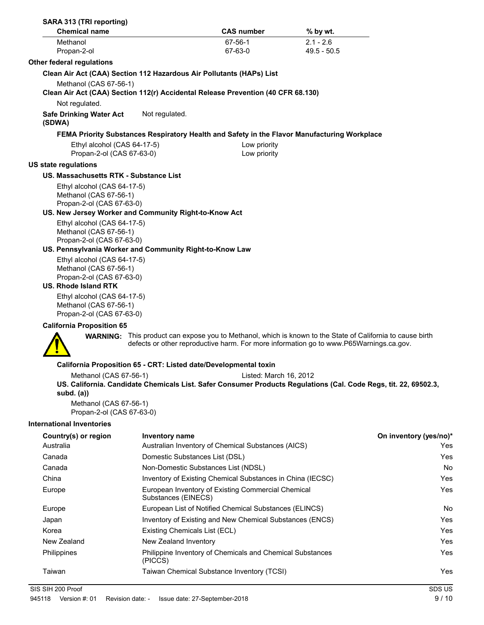| SARA 313 (TRI reporting)<br><b>Chemical name</b>                                       |                               | <b>CAS number</b>                                                                                                                                                                                           | % by wt.      |                        |
|----------------------------------------------------------------------------------------|-------------------------------|-------------------------------------------------------------------------------------------------------------------------------------------------------------------------------------------------------------|---------------|------------------------|
| Methanol                                                                               |                               | 67-56-1                                                                                                                                                                                                     | $2.1 - 2.6$   |                        |
| Propan-2-ol                                                                            |                               | 67-63-0                                                                                                                                                                                                     | $49.5 - 50.5$ |                        |
| <b>Other federal regulations</b>                                                       |                               |                                                                                                                                                                                                             |               |                        |
|                                                                                        |                               | Clean Air Act (CAA) Section 112 Hazardous Air Pollutants (HAPs) List                                                                                                                                        |               |                        |
| Methanol (CAS 67-56-1)                                                                 |                               |                                                                                                                                                                                                             |               |                        |
|                                                                                        |                               | Clean Air Act (CAA) Section 112(r) Accidental Release Prevention (40 CFR 68.130)                                                                                                                            |               |                        |
| Not regulated.                                                                         |                               |                                                                                                                                                                                                             |               |                        |
| <b>Safe Drinking Water Act</b><br>(SDWA)                                               | Not regulated.                |                                                                                                                                                                                                             |               |                        |
|                                                                                        |                               | FEMA Priority Substances Respiratory Health and Safety in the Flavor Manufacturing Workplace                                                                                                                |               |                        |
| Ethyl alcohol (CAS 64-17-5)<br>Propan-2-ol (CAS 67-63-0)                               |                               | Low priority<br>Low priority                                                                                                                                                                                |               |                        |
| US state regulations                                                                   |                               |                                                                                                                                                                                                             |               |                        |
| US. Massachusetts RTK - Substance List                                                 |                               |                                                                                                                                                                                                             |               |                        |
| Ethyl alcohol (CAS 64-17-5)                                                            |                               |                                                                                                                                                                                                             |               |                        |
| Methanol (CAS 67-56-1)<br>Propan-2-ol (CAS 67-63-0)                                    |                               |                                                                                                                                                                                                             |               |                        |
| US. New Jersey Worker and Community Right-to-Know Act                                  |                               |                                                                                                                                                                                                             |               |                        |
| Ethyl alcohol (CAS 64-17-5)                                                            |                               |                                                                                                                                                                                                             |               |                        |
| Methanol (CAS 67-56-1)                                                                 |                               |                                                                                                                                                                                                             |               |                        |
| Propan-2-ol (CAS 67-63-0)                                                              |                               |                                                                                                                                                                                                             |               |                        |
| US. Pennsylvania Worker and Community Right-to-Know Law<br>Ethyl alcohol (CAS 64-17-5) |                               |                                                                                                                                                                                                             |               |                        |
| Methanol (CAS 67-56-1)                                                                 |                               |                                                                                                                                                                                                             |               |                        |
| Propan-2-ol (CAS 67-63-0)                                                              |                               |                                                                                                                                                                                                             |               |                        |
| <b>US. Rhode Island RTK</b>                                                            |                               |                                                                                                                                                                                                             |               |                        |
| Ethyl alcohol (CAS 64-17-5)<br>Methanol (CAS 67-56-1)<br>Propan-2-ol (CAS 67-63-0)     |                               |                                                                                                                                                                                                             |               |                        |
| <b>California Proposition 65</b>                                                       |                               |                                                                                                                                                                                                             |               |                        |
|                                                                                        |                               | <b>WARNING:</b> This product can expose you to Methanol, which is known to the State of California to cause birth<br>defects or other reproductive harm. For more information go to www.P65Warnings.ca.gov. |               |                        |
|                                                                                        |                               | California Proposition 65 - CRT: Listed date/Developmental toxin                                                                                                                                            |               |                        |
| Methanol (CAS 67-56-1)                                                                 |                               | Listed: March 16, 2012                                                                                                                                                                                      |               |                        |
| subd. $(a)$                                                                            |                               | US. California. Candidate Chemicals List. Safer Consumer Products Regulations (Cal. Code Regs, tit. 22, 69502.3,                                                                                            |               |                        |
| Methanol (CAS 67-56-1)                                                                 |                               |                                                                                                                                                                                                             |               |                        |
| Propan-2-ol (CAS 67-63-0)                                                              |                               |                                                                                                                                                                                                             |               |                        |
| <b>International Inventories</b>                                                       |                               |                                                                                                                                                                                                             |               |                        |
| Country(s) or region                                                                   | <b>Inventory name</b>         |                                                                                                                                                                                                             |               | On inventory (yes/no)* |
| Australia                                                                              |                               | Australian Inventory of Chemical Substances (AICS)                                                                                                                                                          |               | Yes                    |
| Canada                                                                                 |                               | Domestic Substances List (DSL)                                                                                                                                                                              |               | Yes                    |
| Canada                                                                                 |                               | Non-Domestic Substances List (NDSL)                                                                                                                                                                         |               | No                     |
| China                                                                                  |                               | Inventory of Existing Chemical Substances in China (IECSC)                                                                                                                                                  |               | Yes                    |
| Europe                                                                                 | Substances (EINECS)           | European Inventory of Existing Commercial Chemical                                                                                                                                                          |               | Yes                    |
| Europe                                                                                 |                               | European List of Notified Chemical Substances (ELINCS)                                                                                                                                                      |               | No.                    |
| Japan                                                                                  |                               | Inventory of Existing and New Chemical Substances (ENCS)                                                                                                                                                    |               | Yes                    |
| Korea                                                                                  | Existing Chemicals List (ECL) |                                                                                                                                                                                                             |               | <b>Yes</b>             |
| New Zealand                                                                            | New Zealand Inventory         |                                                                                                                                                                                                             |               | Yes                    |
| Philippines                                                                            | (PICCS)                       | Philippine Inventory of Chemicals and Chemical Substances                                                                                                                                                   |               | Yes                    |
| Taiwan                                                                                 |                               | Taiwan Chemical Substance Inventory (TCSI)                                                                                                                                                                  |               | Yes                    |
| SIS SIH 200 Proof                                                                      |                               |                                                                                                                                                                                                             |               | SDS US                 |